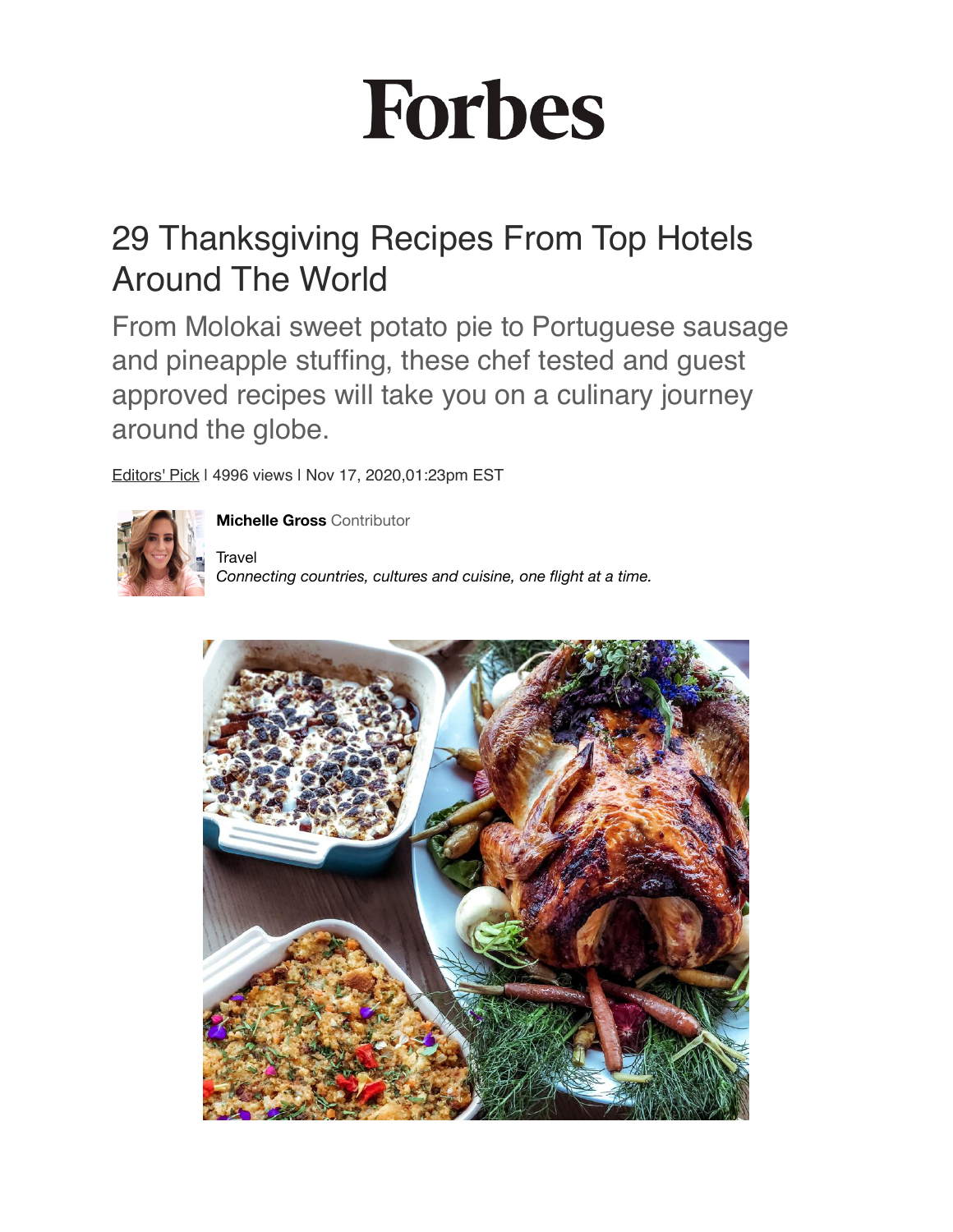# **Forbes**

## 29 Thanksgiving Recipes From Top Hotels Around The World

From Molokai sweet potato pie to Portuguese sausage and pineapple stuffing, these chef tested and guest approved recipes will take you on a culinary journey around the globe.

[Editors' Pick](https://www.forbes.com/editors-picks/?sh=65a56d9d78bf) | 4996 views | Nov 17, 2020,01:23pm EST



**[Michelle Gross](https://www.forbes.com/sites/michellegross/?sh=7c25e348792f)** Contributor

**Travel** *Connecting countries, cultures and cuisine, one flight at a time.*

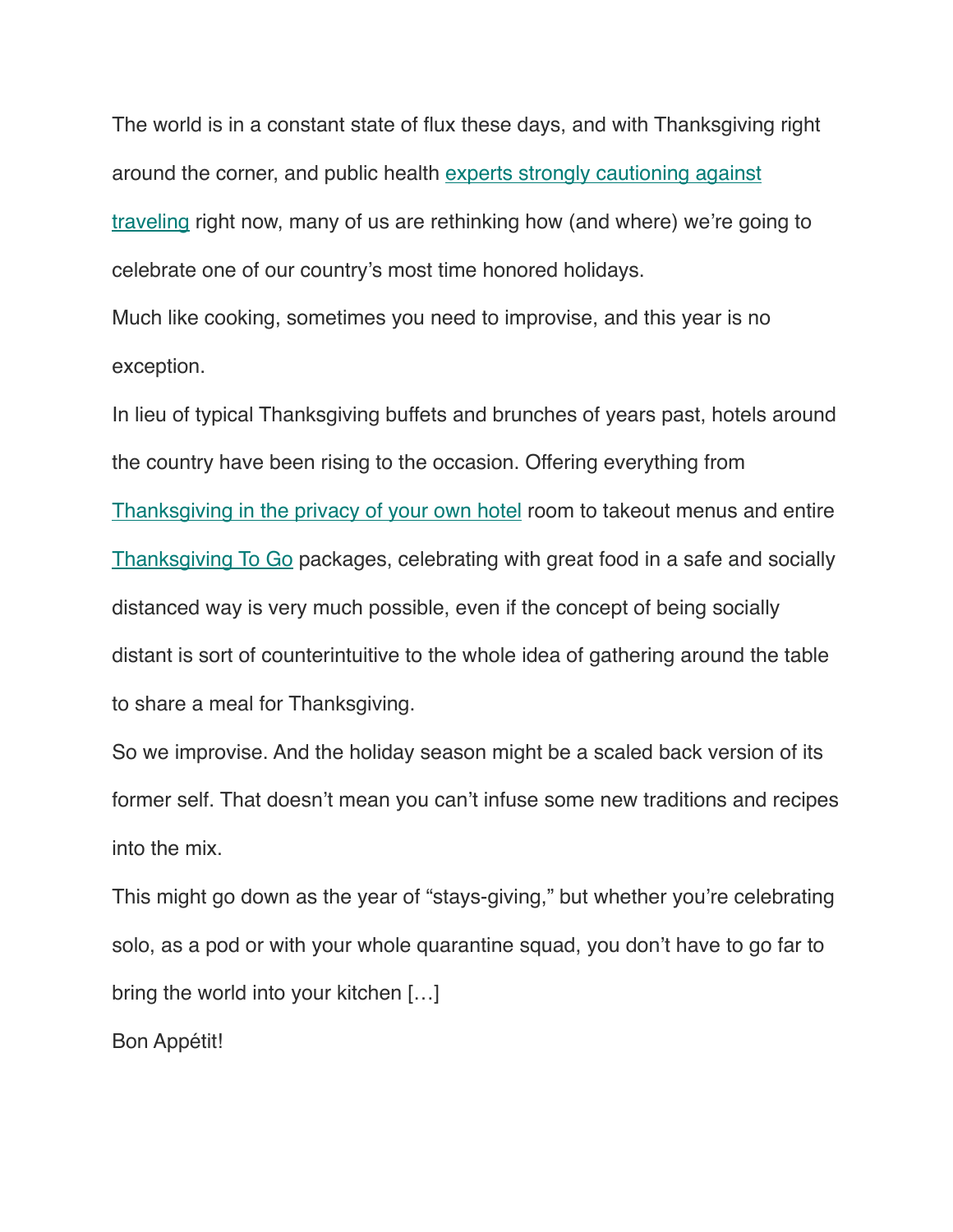The world is in a constant state of flux these days, and with Thanksgiving right around the corner, and public health [experts strongly cautioning against](https://www.cdc.gov/coronavirus/2019-ncov/daily-life-coping/holidays/thanksgiving.html)  [traveling](https://www.cdc.gov/coronavirus/2019-ncov/daily-life-coping/holidays/thanksgiving.html) right now, many of us are rethinking how (and where) we're going to celebrate one of our country's most time honored holidays.

Much like cooking, sometimes you need to improvise, and this year is no exception.

In lieu of typical Thanksgiving buffets and brunches of years past, hotels around the country have been rising to the occasion. Offering everything from [Thanksgiving in the privacy of your own hotel](https://www.forbes.com/sites/lauriewerner/2020/10/13/plan-ahead-you-can-spend-thanksgiving-privately-at-these-hotels/?sh=3d33771aa9d9) room to takeout menus and entire [Thanksgiving To Go](https://www.forbes.com/sites/lauriewerner/2020/10/13/plan-ahead-you-can-spend-thanksgiving-privately-at-these-hotels/?sh=3d33771aa9d9) packages, celebrating with great food in a safe and socially distanced way is very much possible, even if the concept of being socially distant is sort of counterintuitive to the whole idea of gathering around the table to share a meal for Thanksgiving.

So we improvise. And the holiday season might be a scaled back version of its former self. That doesn't mean you can't infuse some new traditions and recipes into the mix.

This might go down as the year of "stays-giving," but whether you're celebrating solo, as a pod or with your whole quarantine squad, you don't have to go far to bring the world into your kitchen […]

Bon Appétit!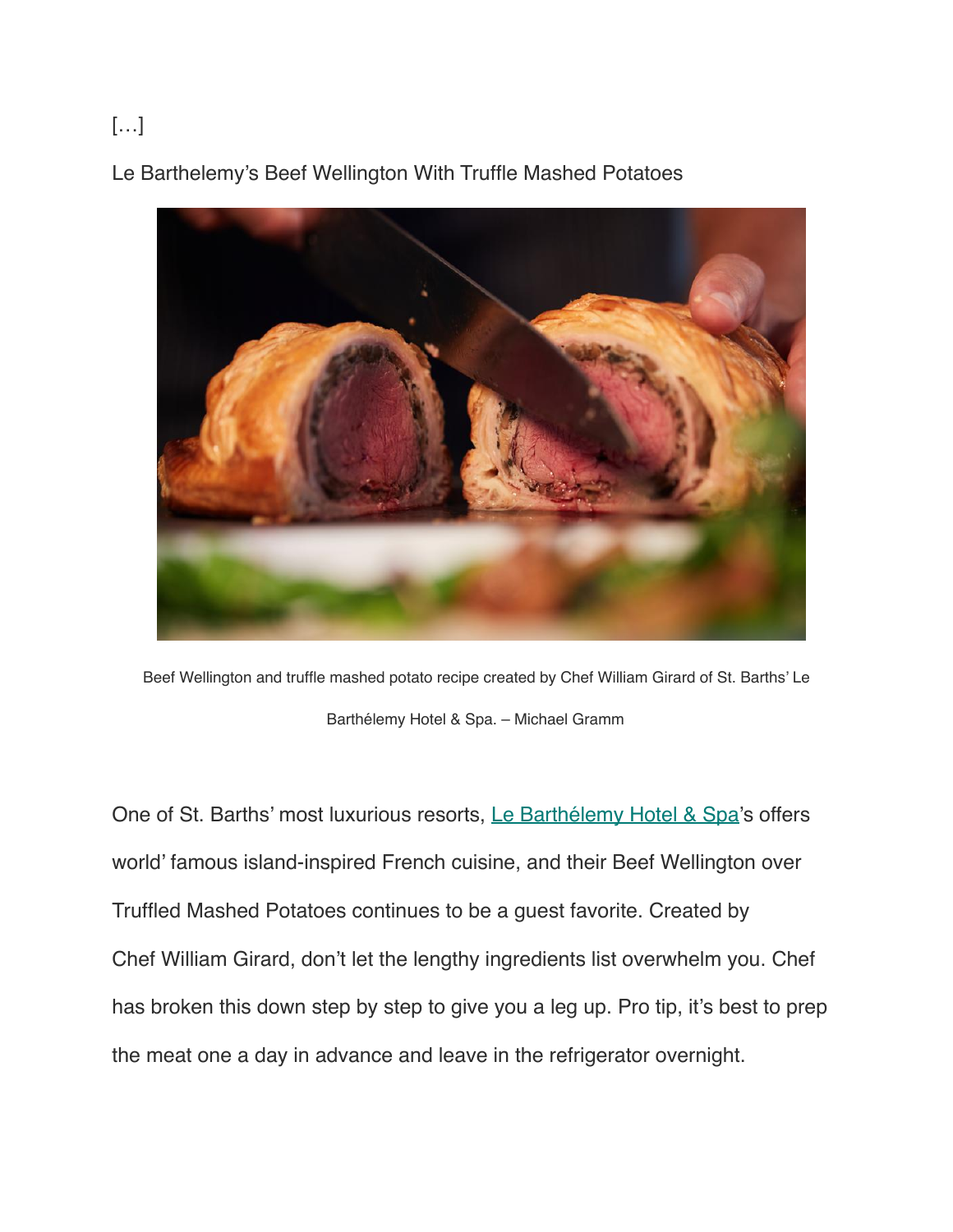### […]

Le Barthelemy's Beef Wellington With Truffle Mashed Potatoes



Beef Wellington and truffle mashed potato recipe created by Chef William Girard of St. Barths' Le Barthélemy Hotel & Spa. – Michael Gramm

One of St. Barths' most luxurious resorts, [Le Barthélemy Hotel & Spa](https://www.lebarthelemyhotel.com/en)'s offers world' famous island-inspired French cuisine, and their Beef Wellington over Truffled Mashed Potatoes continues to be a guest favorite. Created by Chef William Girard, don't let the lengthy ingredients list overwhelm you. Chef has broken this down step by step to give you a leg up. Pro tip, it's best to prep the meat one a day in advance and leave in the refrigerator overnight.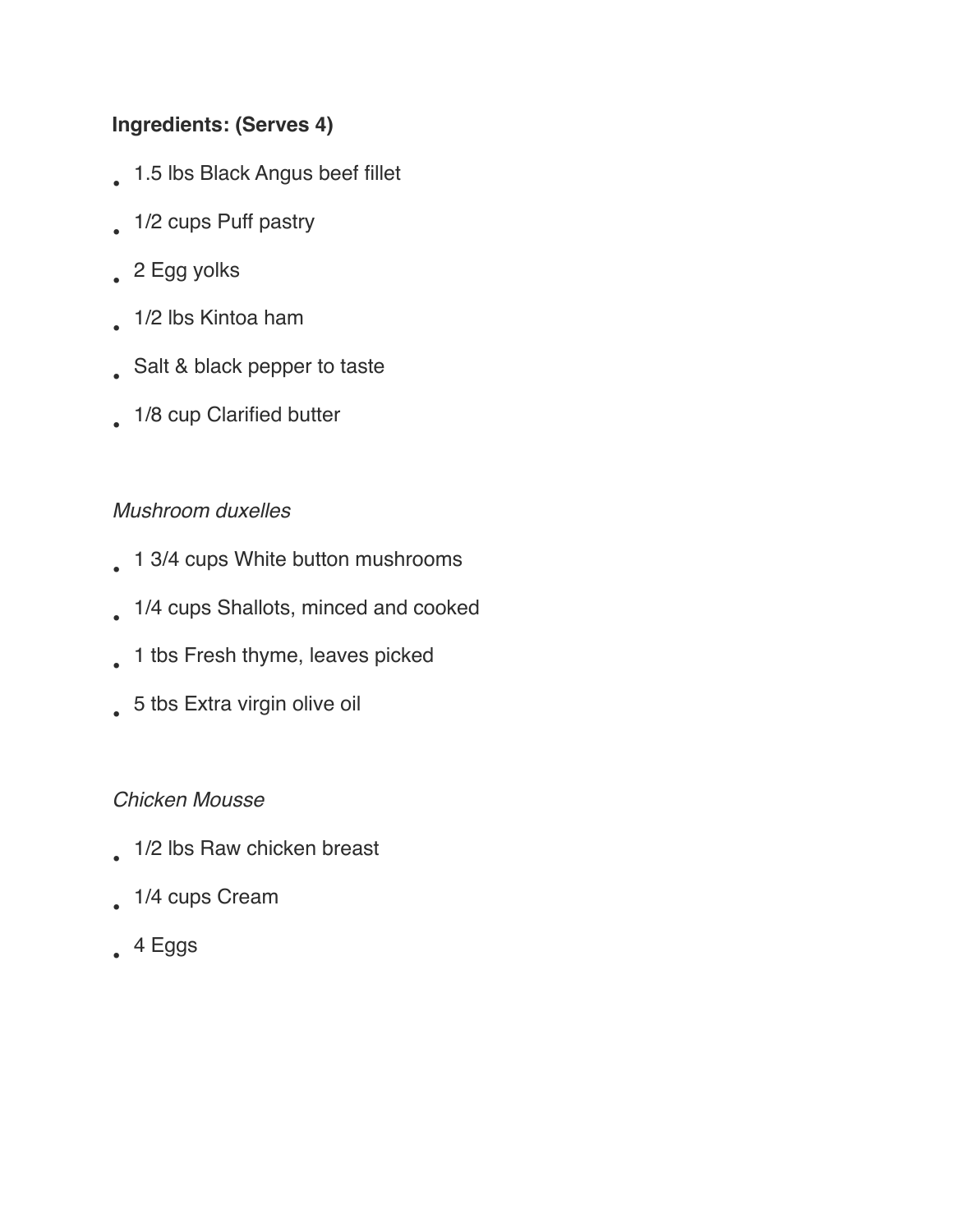#### **Ingredients: (Serves 4)**

- 1.5 lbs Black Angus beef fillet
- 1/2 cups Puff pastry
- 2 Egg yolks
- 1/2 lbs Kintoa ham
- Salt & black pepper to taste
- 1/8 cup Clarified butter

#### *Mushroom duxelles*

- 1 3/4 cups White button mushrooms
- 1/4 cups Shallots, minced and cooked
- 1 tbs Fresh thyme, leaves picked
- 5 tbs Extra virgin olive oil

#### *Chicken Mousse*

- 1/2 lbs Raw chicken breast
- 1/4 cups Cream
- $4$  Eggs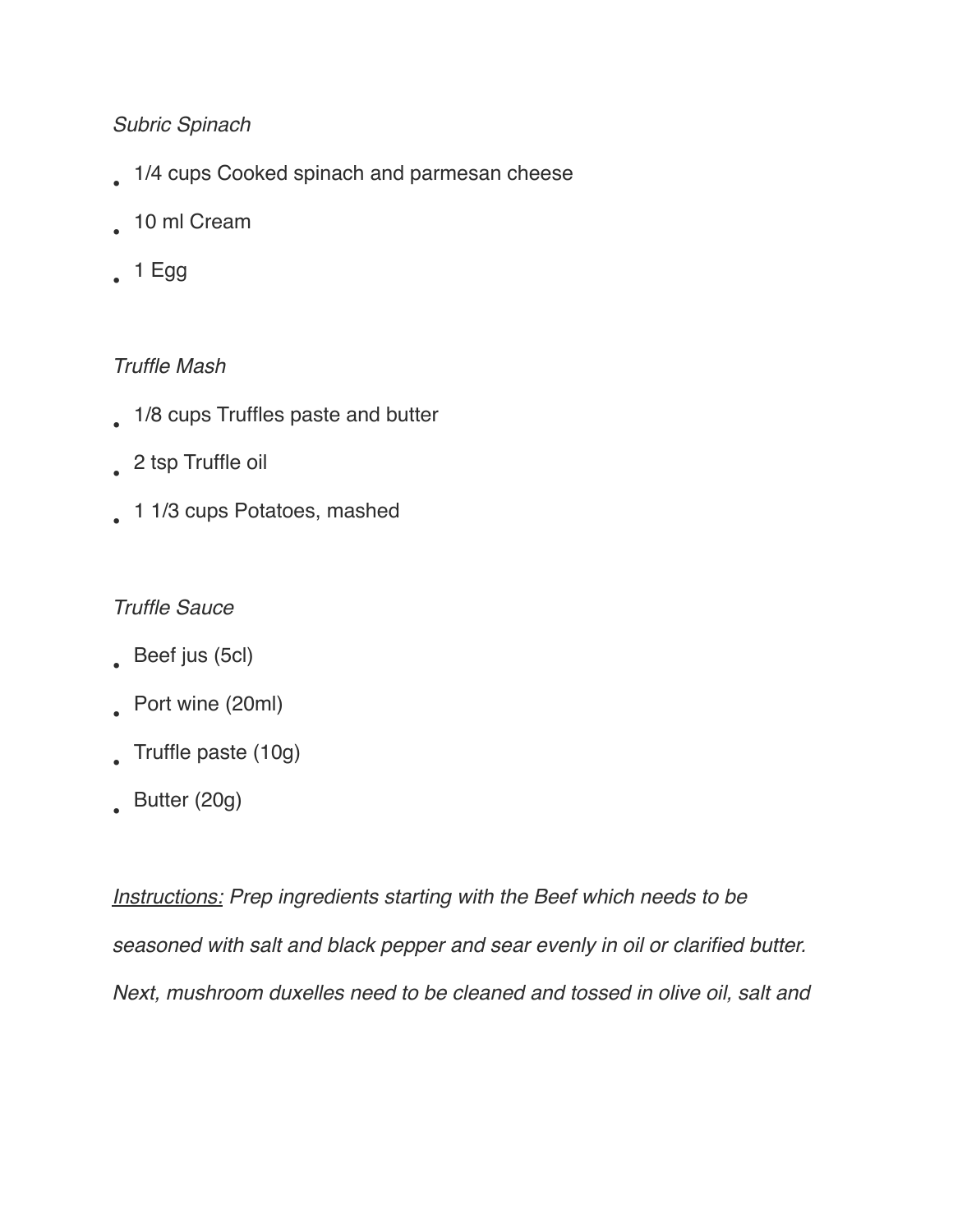#### *Subric Spinach*

- 1/4 cups Cooked spinach and parmesan cheese
- 10 ml Cream
- 1 Egg

#### *Truffle Mash*

- 1/8 cups Truffles paste and butter
- 2 tsp Truffle oil
- 1 1/3 cups Potatoes, mashed

#### *Truffle Sauce*

- Beef jus (5cl)
- Port wine (20ml)
- Truffle paste (10g)
- Butter (20g)

*Instructions: Prep ingredients starting with the Beef which needs to be seasoned with salt and black pepper and sear evenly in oil or clarified butter. Next, mushroom duxelles need to be cleaned and tossed in olive oil, salt and*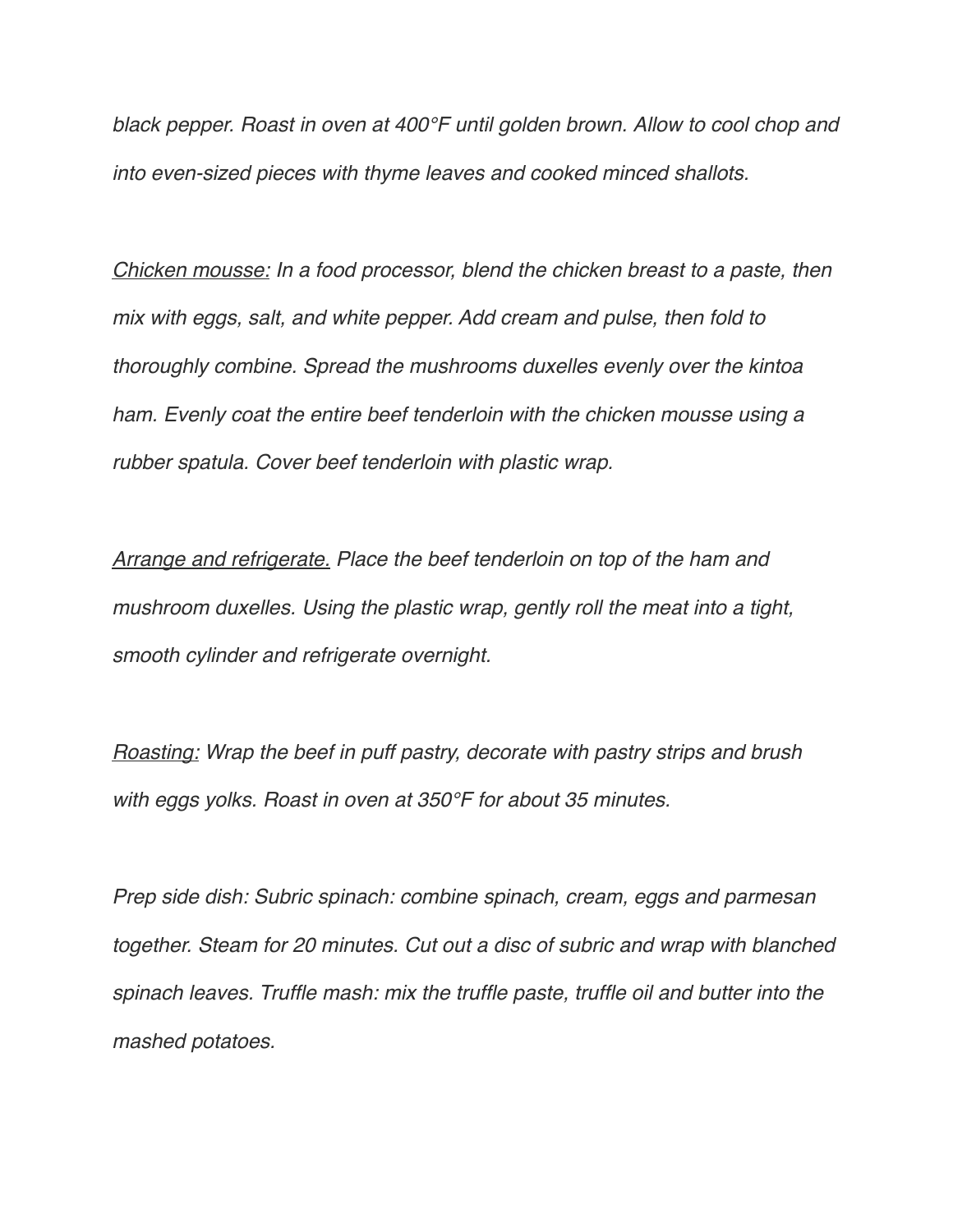*black pepper. Roast in oven at 400°F until golden brown. Allow to cool chop and into even-sized pieces with thyme leaves and cooked minced shallots.* 

*Chicken mousse: In a food processor, blend the chicken breast to a paste, then mix with eggs, salt, and white pepper. Add cream and pulse, then fold to thoroughly combine. Spread the mushrooms duxelles evenly over the kintoa ham. Evenly coat the entire beef tenderloin with the chicken mousse using a rubber spatula. Cover beef tenderloin with plastic wrap.*

*Arrange and refrigerate. Place the beef tenderloin on top of the ham and mushroom duxelles. Using the plastic wrap, gently roll the meat into a tight, smooth cylinder and refrigerate overnight.*

*Roasting: Wrap the beef in puff pastry, decorate with pastry strips and brush with eggs yolks. Roast in oven at 350°F for about 35 minutes.*

*Prep side dish: Subric spinach: combine spinach, cream, eggs and parmesan together. Steam for 20 minutes. Cut out a disc of subric and wrap with blanched spinach leaves. Truffle mash: mix the truffle paste, truffle oil and butter into the mashed potatoes.*